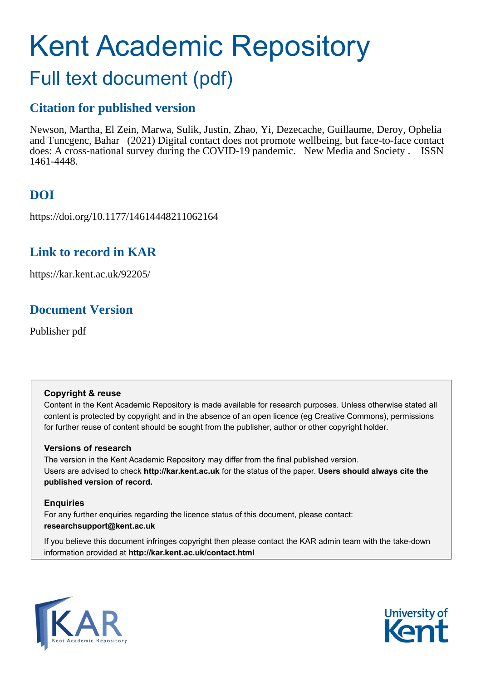# Kent Academic Repository

## Full text document (pdf)

## **Citation for published version**

Newson, Martha, El Zein, Marwa, Sulik, Justin, Zhao, Yi, Dezecache, Guillaume, Deroy, Ophelia and Tuncgenc, Bahar (2021) Digital contact does not promote wellbeing, but face-to-face contact does: A cross-national survey during the COVID-19 pandemic. New Media and Society . ISSN 1461-4448.

## **DOI**

https://doi.org/10.1177/14614448211062164

## **Link to record in KAR**

https://kar.kent.ac.uk/92205/

## **Document Version**

Publisher pdf

#### **Copyright & reuse**

Content in the Kent Academic Repository is made available for research purposes. Unless otherwise stated all content is protected by copyright and in the absence of an open licence (eg Creative Commons), permissions for further reuse of content should be sought from the publisher, author or other copyright holder.

#### **Versions of research**

The version in the Kent Academic Repository may differ from the final published version. Users are advised to check **http://kar.kent.ac.uk** for the status of the paper. **Users should always cite the published version of record.**

#### **Enquiries**

For any further enquiries regarding the licence status of this document, please contact: **researchsupport@kent.ac.uk**

If you believe this document infringes copyright then please contact the KAR admin team with the take-down information provided at **http://kar.kent.ac.uk/contact.html**



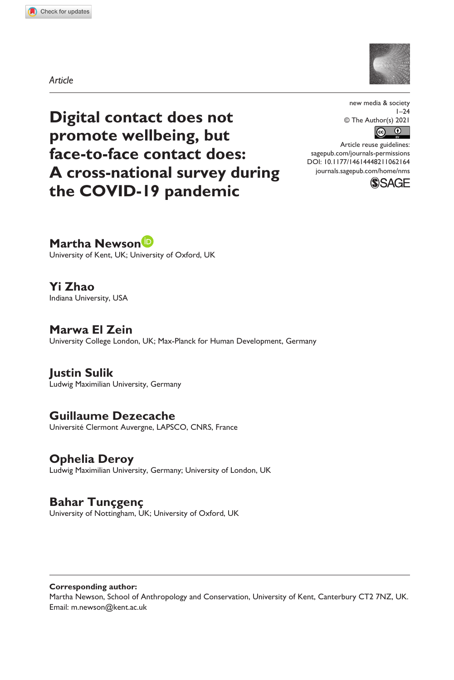**1062[164](http://crossmark.crossref.org/dialog/?doi=10.1177%2F14614448211062164&domain=pdf&date_stamp=2021-12-07)** NMS0010.1177/14614448211062164new media & society**Newson et al.**

*Article*



**Digital contact does not promote wellbeing, but face-to-face contact does: A cross-national survey during the COVID-19 pandemic**

new media & society  $1 - 24$ © The Author(s) 2021  $\boxed{6}$ 

DOI: 10.1177/14614448211062164 Article reuse guidelines: [sagepub.com/journals-permissions](https://uk.sagepub.com/en-gb/journals-permissions) [journals.sagepub.com/home/nms](https://journals.sagepub.com/home/nms)



**Martha Newson**

University of Kent, UK; University of Oxford, UK

**Yi Zhao** Indiana University, USA

**Marwa El Zein** University College London, UK; Max-Planck for Human Development, Germany

**Justin Sulik** Ludwig Maximilian University, Germany

#### **Guillaume Dezecache**

Université Clermont Auvergne, LAPSCO, CNRS, France

#### **Ophelia Deroy**

Ludwig Maximilian University, Germany; University of London, UK

#### **Bahar Tunçgenç**

University of Nottingham, UK; University of Oxford, UK

**Corresponding author:**

Martha Newson, School of Anthropology and Conservation, University of Kent, Canterbury CT2 7NZ, UK. Email: [m.newson@kent.ac.uk](mailto:m.newson@kent.ac.uk)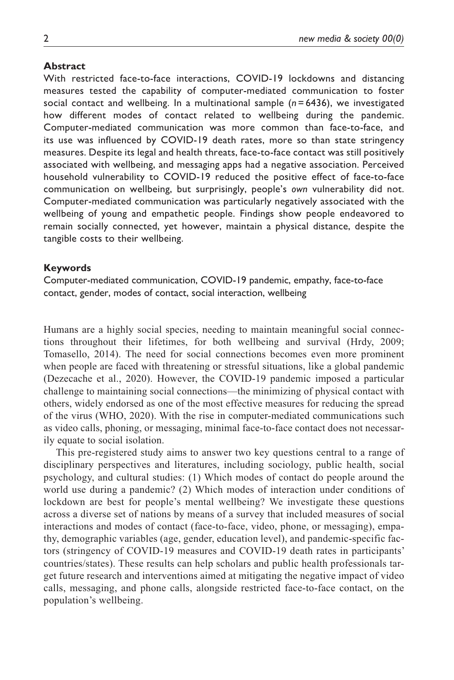#### **Abstract**

With restricted face-to-face interactions, COVID-19 lockdowns and distancing measures tested the capability of computer-mediated communication to foster social contact and wellbeing. In a multinational sample (*n* = 6436), we investigated how different modes of contact related to wellbeing during the pandemic. Computer-mediated communication was more common than face-to-face, and its use was influenced by COVID-19 death rates, more so than state stringency measures. Despite its legal and health threats, face-to-face contact was still positively associated with wellbeing, and messaging apps had a negative association. Perceived household vulnerability to COVID-19 reduced the positive effect of face-to-face communication on wellbeing, but surprisingly, people's *own* vulnerability did not. Computer-mediated communication was particularly negatively associated with the wellbeing of young and empathetic people. Findings show people endeavored to remain socially connected, yet however, maintain a physical distance, despite the tangible costs to their wellbeing.

#### **Keywords**

Computer-mediated communication, COVID-19 pandemic, empathy, face-to-face contact, gender, modes of contact, social interaction, wellbeing

Humans are a highly social species, needing to maintain meaningful social connections throughout their lifetimes, for both wellbeing and survival (Hrdy, 2009; Tomasello, 2014). The need for social connections becomes even more prominent when people are faced with threatening or stressful situations, like a global pandemic (Dezecache et al., 2020). However, the COVID-19 pandemic imposed a particular challenge to maintaining social connections—the minimizing of physical contact with others, widely endorsed as one of the most effective measures for reducing the spread of the virus (WHO, 2020). With the rise in computer-mediated communications such as video calls, phoning, or messaging, minimal face-to-face contact does not necessarily equate to social isolation.

This pre-registered study aims to answer two key questions central to a range of disciplinary perspectives and literatures, including sociology, public health, social psychology, and cultural studies: (1) Which modes of contact do people around the world use during a pandemic? (2) Which modes of interaction under conditions of lockdown are best for people's mental wellbeing? We investigate these questions across a diverse set of nations by means of a survey that included measures of social interactions and modes of contact (face-to-face, video, phone, or messaging), empathy, demographic variables (age, gender, education level), and pandemic-specific factors (stringency of COVID-19 measures and COVID-19 death rates in participants' countries/states). These results can help scholars and public health professionals target future research and interventions aimed at mitigating the negative impact of video calls, messaging, and phone calls, alongside restricted face-to-face contact, on the population's wellbeing.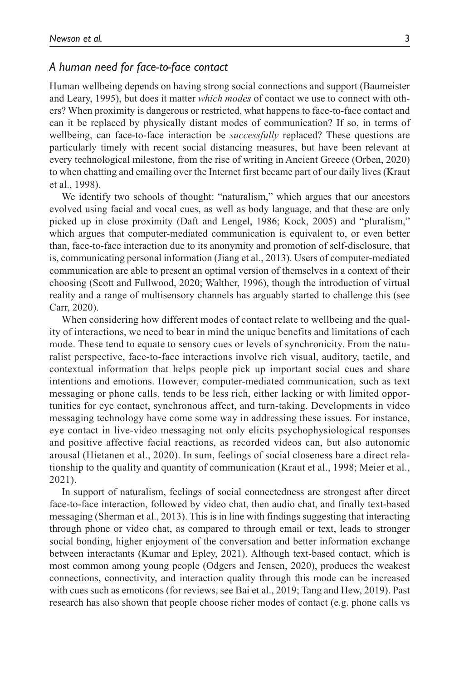#### *A human need for face-to-face contact*

Human wellbeing depends on having strong social connections and support (Baumeister and Leary, 1995), but does it matter *which modes* of contact we use to connect with others? When proximity is dangerous or restricted, what happens to face-to-face contact and can it be replaced by physically distant modes of communication? If so, in terms of wellbeing, can face-to-face interaction be *successfully* replaced? These questions are particularly timely with recent social distancing measures, but have been relevant at every technological milestone, from the rise of writing in Ancient Greece (Orben, 2020) to when chatting and emailing over the Internet first became part of our daily lives (Kraut et al., 1998).

We identify two schools of thought: "naturalism," which argues that our ancestors evolved using facial and vocal cues, as well as body language, and that these are only picked up in close proximity (Daft and Lengel, 1986; Kock, 2005) and "pluralism," which argues that computer-mediated communication is equivalent to, or even better than, face-to-face interaction due to its anonymity and promotion of self-disclosure, that is, communicating personal information (Jiang et al., 2013). Users of computer-mediated communication are able to present an optimal version of themselves in a context of their choosing (Scott and Fullwood, 2020; Walther, 1996), though the introduction of virtual reality and a range of multisensory channels has arguably started to challenge this (see Carr, 2020).

When considering how different modes of contact relate to wellbeing and the quality of interactions, we need to bear in mind the unique benefits and limitations of each mode. These tend to equate to sensory cues or levels of synchronicity. From the naturalist perspective, face-to-face interactions involve rich visual, auditory, tactile, and contextual information that helps people pick up important social cues and share intentions and emotions. However, computer-mediated communication, such as text messaging or phone calls, tends to be less rich, either lacking or with limited opportunities for eye contact, synchronous affect, and turn-taking. Developments in video messaging technology have come some way in addressing these issues. For instance, eye contact in live-video messaging not only elicits psychophysiological responses and positive affective facial reactions, as recorded videos can, but also autonomic arousal (Hietanen et al., 2020). In sum, feelings of social closeness bare a direct relationship to the quality and quantity of communication (Kraut et al., 1998; Meier et al., 2021).

In support of naturalism, feelings of social connectedness are strongest after direct face-to-face interaction, followed by video chat, then audio chat, and finally text-based messaging (Sherman et al., 2013). This is in line with findings suggesting that interacting through phone or video chat, as compared to through email or text, leads to stronger social bonding, higher enjoyment of the conversation and better information exchange between interactants (Kumar and Epley, 2021). Although text-based contact, which is most common among young people (Odgers and Jensen, 2020), produces the weakest connections, connectivity, and interaction quality through this mode can be increased with cues such as emoticons (for reviews, see Bai et al., 2019; Tang and Hew, 2019). Past research has also shown that people choose richer modes of contact (e.g. phone calls vs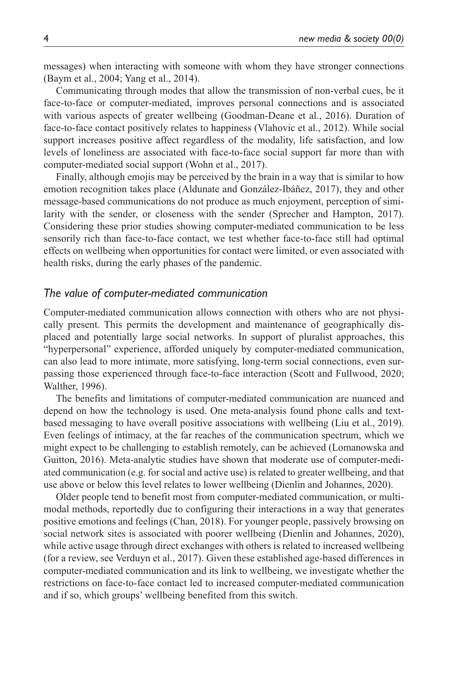messages) when interacting with someone with whom they have stronger connections (Baym et al., 2004; Yang et al., 2014).

Communicating through modes that allow the transmission of non-verbal cues, be it face-to-face or computer-mediated, improves personal connections and is associated with various aspects of greater wellbeing (Goodman-Deane et al., 2016). Duration of face-to-face contact positively relates to happiness (Vlahovic et al., 2012). While social support increases positive affect regardless of the modality, life satisfaction, and low levels of loneliness are associated with face-to-face social support far more than with computer-mediated social support (Wohn et al., 2017).

Finally, although emojis may be perceived by the brain in a way that is similar to how emotion recognition takes place (Aldunate and González-Ibáñez, 2017), they and other message-based communications do not produce as much enjoyment, perception of similarity with the sender, or closeness with the sender (Sprecher and Hampton, 2017). Considering these prior studies showing computer-mediated communication to be less sensorily rich than face-to-face contact, we test whether face-to-face still had optimal effects on wellbeing when opportunities for contact were limited, or even associated with health risks, during the early phases of the pandemic.

#### *The value of computer-mediated communication*

Computer-mediated communication allows connection with others who are not physically present. This permits the development and maintenance of geographically displaced and potentially large social networks. In support of pluralist approaches, this "hyperpersonal" experience, afforded uniquely by computer-mediated communication, can also lead to more intimate, more satisfying, long-term social connections, even surpassing those experienced through face-to-face interaction (Scott and Fullwood, 2020; Walther, 1996).

The benefits and limitations of computer-mediated communication are nuanced and depend on how the technology is used. One meta-analysis found phone calls and textbased messaging to have overall positive associations with wellbeing (Liu et al., 2019). Even feelings of intimacy, at the far reaches of the communication spectrum, which we might expect to be challenging to establish remotely, can be achieved (Lomanowska and Guitton, 2016). Meta-analytic studies have shown that moderate use of computer-mediated communication (e.g. for social and active use) is related to greater wellbeing, and that use above or below this level relates to lower wellbeing (Dienlin and Johannes, 2020).

Older people tend to benefit most from computer-mediated communication, or multimodal methods, reportedly due to configuring their interactions in a way that generates positive emotions and feelings (Chan, 2018). For younger people, passively browsing on social network sites is associated with poorer wellbeing (Dienlin and Johannes, 2020), while active usage through direct exchanges with others is related to increased wellbeing (for a review, see Verduyn et al., 2017). Given these established age-based differences in computer-mediated communication and its link to wellbeing, we investigate whether the restrictions on face-to-face contact led to increased computer-mediated communication and if so, which groups' wellbeing benefited from this switch.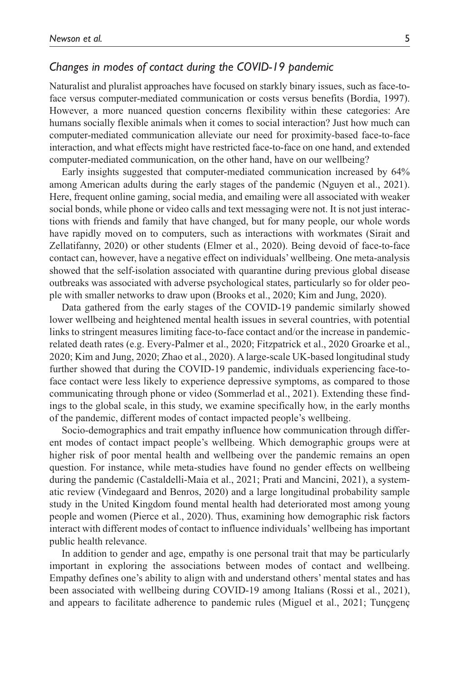#### *Changes in modes of contact during the COVID-19 pandemic*

Naturalist and pluralist approaches have focused on starkly binary issues, such as face-toface versus computer-mediated communication or costs versus benefits (Bordia, 1997). However, a more nuanced question concerns flexibility within these categories: Are humans socially flexible animals when it comes to social interaction? Just how much can computer-mediated communication alleviate our need for proximity-based face-to-face interaction, and what effects might have restricted face-to-face on one hand, and extended computer-mediated communication, on the other hand, have on our wellbeing?

Early insights suggested that computer-mediated communication increased by 64% among American adults during the early stages of the pandemic (Nguyen et al., 2021). Here, frequent online gaming, social media, and emailing were all associated with weaker social bonds, while phone or video calls and text messaging were not. It is not just interactions with friends and family that have changed, but for many people, our whole words have rapidly moved on to computers, such as interactions with workmates (Sirait and Zellatifanny, 2020) or other students (Elmer et al., 2020). Being devoid of face-to-face contact can, however, have a negative effect on individuals' wellbeing. One meta-analysis showed that the self-isolation associated with quarantine during previous global disease outbreaks was associated with adverse psychological states, particularly so for older people with smaller networks to draw upon (Brooks et al., 2020; Kim and Jung, 2020).

Data gathered from the early stages of the COVID-19 pandemic similarly showed lower wellbeing and heightened mental health issues in several countries, with potential links to stringent measures limiting face-to-face contact and/or the increase in pandemicrelated death rates (e.g. Every-Palmer et al., 2020; Fitzpatrick et al., 2020 Groarke et al., 2020; Kim and Jung, 2020; Zhao et al., 2020). A large-scale UK-based longitudinal study further showed that during the COVID-19 pandemic, individuals experiencing face-toface contact were less likely to experience depressive symptoms, as compared to those communicating through phone or video (Sommerlad et al., 2021). Extending these findings to the global scale, in this study, we examine specifically how, in the early months of the pandemic, different modes of contact impacted people's wellbeing.

Socio-demographics and trait empathy influence how communication through different modes of contact impact people's wellbeing. Which demographic groups were at higher risk of poor mental health and wellbeing over the pandemic remains an open question. For instance, while meta-studies have found no gender effects on wellbeing during the pandemic (Castaldelli-Maia et al., 2021; Prati and Mancini, 2021), a systematic review (Vindegaard and Benros, 2020) and a large longitudinal probability sample study in the United Kingdom found mental health had deteriorated most among young people and women (Pierce et al., 2020). Thus, examining how demographic risk factors interact with different modes of contact to influence individuals' wellbeing has important public health relevance.

In addition to gender and age, empathy is one personal trait that may be particularly important in exploring the associations between modes of contact and wellbeing. Empathy defines one's ability to align with and understand others' mental states and has been associated with wellbeing during COVID-19 among Italians (Rossi et al., 2021), and appears to facilitate adherence to pandemic rules (Miguel et al., 2021; Tunçgenç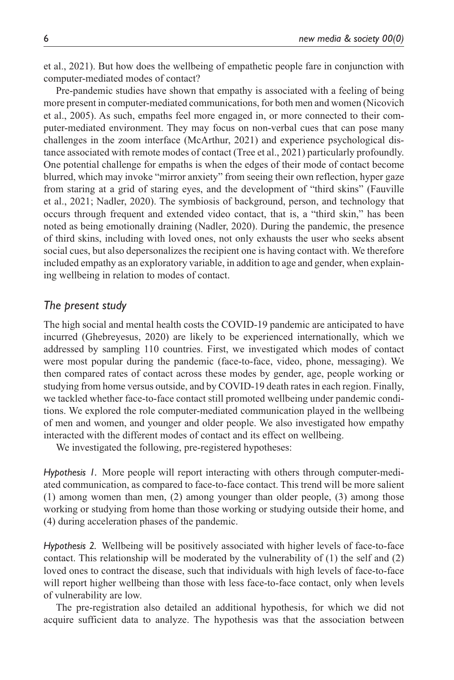et al., 2021). But how does the wellbeing of empathetic people fare in conjunction with computer-mediated modes of contact?

Pre-pandemic studies have shown that empathy is associated with a feeling of being more present in computer-mediated communications, for both men and women (Nicovich et al., 2005). As such, empaths feel more engaged in, or more connected to their computer-mediated environment. They may focus on non-verbal cues that can pose many challenges in the zoom interface (McArthur, 2021) and experience psychological distance associated with remote modes of contact (Tree et al., 2021) particularly profoundly. One potential challenge for empaths is when the edges of their mode of contact become blurred, which may invoke "mirror anxiety" from seeing their own reflection, hyper gaze from staring at a grid of staring eyes, and the development of "third skins" (Fauville et al., 2021; Nadler, 2020). The symbiosis of background, person, and technology that occurs through frequent and extended video contact, that is, a "third skin," has been noted as being emotionally draining (Nadler, 2020). During the pandemic, the presence of third skins, including with loved ones, not only exhausts the user who seeks absent social cues, but also depersonalizes the recipient one is having contact with. We therefore included empathy as an exploratory variable, in addition to age and gender, when explaining wellbeing in relation to modes of contact.

#### *The present study*

The high social and mental health costs the COVID-19 pandemic are anticipated to have incurred (Ghebreyesus, 2020) are likely to be experienced internationally, which we addressed by sampling 110 countries. First, we investigated which modes of contact were most popular during the pandemic (face-to-face, video, phone, messaging). We then compared rates of contact across these modes by gender, age, people working or studying from home versus outside, and by COVID-19 death rates in each region. Finally, we tackled whether face-to-face contact still promoted wellbeing under pandemic conditions. We explored the role computer-mediated communication played in the wellbeing of men and women, and younger and older people. We also investigated how empathy interacted with the different modes of contact and its effect on wellbeing.

We investigated the following, pre-registered hypotheses:

*Hypothesis 1.* More people will report interacting with others through computer-mediated communication, as compared to face-to-face contact. This trend will be more salient (1) among women than men, (2) among younger than older people, (3) among those working or studying from home than those working or studying outside their home, and (4) during acceleration phases of the pandemic.

*Hypothesis 2.* Wellbeing will be positively associated with higher levels of face-to-face contact. This relationship will be moderated by the vulnerability of  $(1)$  the self and  $(2)$ loved ones to contract the disease, such that individuals with high levels of face-to-face will report higher wellbeing than those with less face-to-face contact, only when levels of vulnerability are low.

The pre-registration also detailed an additional hypothesis, for which we did not acquire sufficient data to analyze. The hypothesis was that the association between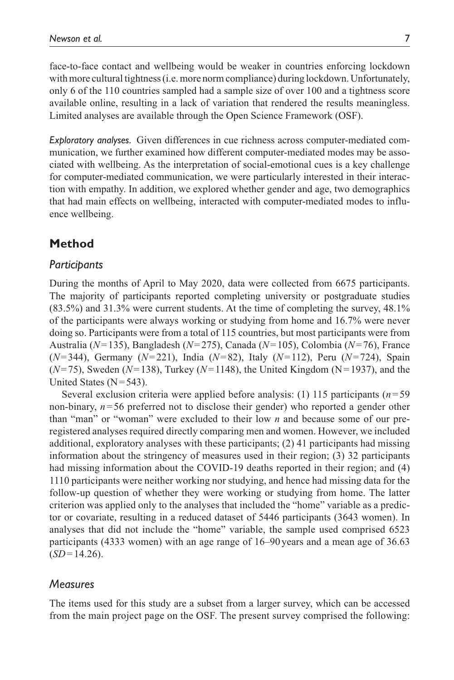face-to-face contact and wellbeing would be weaker in countries enforcing lockdown with more cultural tightness (i.e. more norm compliance) during lockdown. Unfortunately, only 6 of the 110 countries sampled had a sample size of over 100 and a tightness score available online, resulting in a lack of variation that rendered the results meaningless. Limited analyses are available through the Open Science Framework (OSF).

*Exploratory analyses.* Given differences in cue richness across computer-mediated communication, we further examined how different computer-mediated modes may be associated with wellbeing. As the interpretation of social-emotional cues is a key challenge for computer-mediated communication, we were particularly interested in their interaction with empathy. In addition, we explored whether gender and age, two demographics that had main effects on wellbeing, interacted with computer-mediated modes to influence wellbeing.

#### **Method**

#### *Participants*

During the months of April to May 2020, data were collected from 6675 participants. The majority of participants reported completing university or postgraduate studies (83.5%) and 31.3% were current students. At the time of completing the survey, 48.1% of the participants were always working or studying from home and 16.7% were never doing so. Participants were from a total of 115 countries, but most participants were from Australia (*N*=135), Bangladesh (*N*=275), Canada (*N*=105), Colombia (*N*=76), France (*N*=344), Germany (*N*=221), India (*N*=82), Italy (*N*=112), Peru (*N*=724), Spain (*N*=75), Sweden (*N*=138), Turkey (*N*=1148), the United Kingdom (N=1937), and the United States  $(N=543)$ .

Several exclusion criteria were applied before analysis: (1) 115 participants (*n*=59 non-binary, *n*=56 preferred not to disclose their gender) who reported a gender other than "man" or "woman" were excluded to their low *n* and because some of our preregistered analyses required directly comparing men and women. However, we included additional, exploratory analyses with these participants; (2) 41 participants had missing information about the stringency of measures used in their region; (3) 32 participants had missing information about the COVID-19 deaths reported in their region; and (4) 1110 participants were neither working nor studying, and hence had missing data for the follow-up question of whether they were working or studying from home. The latter criterion was applied only to the analyses that included the "home" variable as a predictor or covariate, resulting in a reduced dataset of 5446 participants (3643 women). In analyses that did not include the "home" variable, the sample used comprised 6523 participants (4333 women) with an age range of 16–90 years and a mean age of 36.63  $(SD=14.26)$ .

#### *Measures*

The items used for this study are a subset from a larger survey, which can be accessed from the main project page on the OSF. The present survey comprised the following: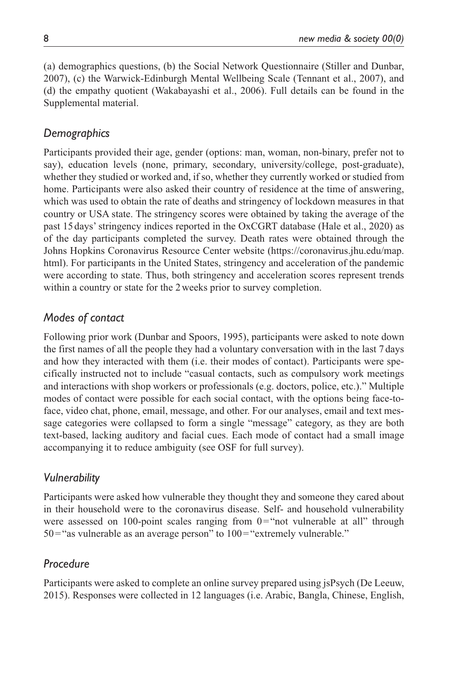(a) demographics questions, (b) the Social Network Questionnaire (Stiller and Dunbar, 2007), (c) the Warwick-Edinburgh Mental Wellbeing Scale (Tennant et al., 2007), and (d) the empathy quotient (Wakabayashi et al., 2006). Full details can be found in the Supplemental material.

#### *Demographics*

Participants provided their age, gender (options: man, woman, non-binary, prefer not to say), education levels (none, primary, secondary, university/college, post-graduate), whether they studied or worked and, if so, whether they currently worked or studied from home. Participants were also asked their country of residence at the time of answering, which was used to obtain the rate of deaths and stringency of lockdown measures in that country or USA state. The stringency scores were obtained by taking the average of the past 15days' stringency indices reported in the OxCGRT database (Hale et al., 2020) as of the day participants completed the survey. Death rates were obtained through the Johns Hopkins Coronavirus Resource Center website [\(https://coronavirus.jhu.edu/map.](https://coronavirus.jhu.edu/map.html) [html\)](https://coronavirus.jhu.edu/map.html). For participants in the United States, stringency and acceleration of the pandemic were according to state. Thus, both stringency and acceleration scores represent trends within a country or state for the 2 weeks prior to survey completion.

#### *Modes of contact*

Following prior work (Dunbar and Spoors, 1995), participants were asked to note down the first names of all the people they had a voluntary conversation with in the last 7 days and how they interacted with them (i.e. their modes of contact). Participants were specifically instructed not to include "casual contacts, such as compulsory work meetings and interactions with shop workers or professionals (e.g. doctors, police, etc.)." Multiple modes of contact were possible for each social contact, with the options being face-toface, video chat, phone, email, message, and other. For our analyses, email and text message categories were collapsed to form a single "message" category, as they are both text-based, lacking auditory and facial cues. Each mode of contact had a small image accompanying it to reduce ambiguity (see OSF for full survey).

#### *Vulnerability*

Participants were asked how vulnerable they thought they and someone they cared about in their household were to the coronavirus disease. Self- and household vulnerability were assessed on 100-point scales ranging from  $0=$  "not vulnerable at all" through  $50$ ="as vulnerable as an average person" to  $100$ ="extremely vulnerable."

#### *Procedure*

Participants were asked to complete an online survey prepared using jsPsych (De Leeuw, 2015). Responses were collected in 12 languages (i.e. Arabic, Bangla, Chinese, English,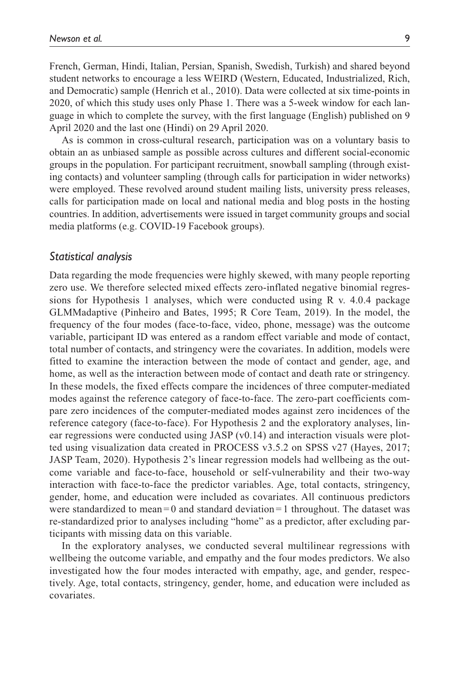French, German, Hindi, Italian, Persian, Spanish, Swedish, Turkish) and shared beyond student networks to encourage a less WEIRD (Western, Educated, Industrialized, Rich, and Democratic) sample (Henrich et al., 2010). Data were collected at six time-points in 2020, of which this study uses only Phase 1. There was a 5-week window for each language in which to complete the survey, with the first language (English) published on 9 April 2020 and the last one (Hindi) on 29 April 2020.

As is common in cross-cultural research, participation was on a voluntary basis to obtain an as unbiased sample as possible across cultures and different social-economic groups in the population. For participant recruitment, snowball sampling (through existing contacts) and volunteer sampling (through calls for participation in wider networks) were employed. These revolved around student mailing lists, university press releases, calls for participation made on local and national media and blog posts in the hosting countries. In addition, advertisements were issued in target community groups and social media platforms (e.g. COVID-19 Facebook groups).

#### *Statistical analysis*

Data regarding the mode frequencies were highly skewed, with many people reporting zero use. We therefore selected mixed effects zero-inflated negative binomial regressions for Hypothesis 1 analyses, which were conducted using R v. 4.0.4 package GLMMadaptive (Pinheiro and Bates, 1995; R Core Team, 2019). In the model, the frequency of the four modes (face-to-face, video, phone, message) was the outcome variable, participant ID was entered as a random effect variable and mode of contact, total number of contacts, and stringency were the covariates. In addition, models were fitted to examine the interaction between the mode of contact and gender, age, and home, as well as the interaction between mode of contact and death rate or stringency. In these models, the fixed effects compare the incidences of three computer-mediated modes against the reference category of face-to-face. The zero-part coefficients compare zero incidences of the computer-mediated modes against zero incidences of the reference category (face-to-face). For Hypothesis 2 and the exploratory analyses, linear regressions were conducted using JASP (v0.14) and interaction visuals were plotted using visualization data created in PROCESS v3.5.2 on SPSS v27 (Hayes, 2017; JASP Team, 2020). Hypothesis 2's linear regression models had wellbeing as the outcome variable and face-to-face, household or self-vulnerability and their two-way interaction with face-to-face the predictor variables. Age, total contacts, stringency, gender, home, and education were included as covariates. All continuous predictors were standardized to mean  $= 0$  and standard deviation  $= 1$  throughout. The dataset was re-standardized prior to analyses including "home" as a predictor, after excluding participants with missing data on this variable.

In the exploratory analyses, we conducted several multilinear regressions with wellbeing the outcome variable, and empathy and the four modes predictors. We also investigated how the four modes interacted with empathy, age, and gender, respectively. Age, total contacts, stringency, gender, home, and education were included as covariates.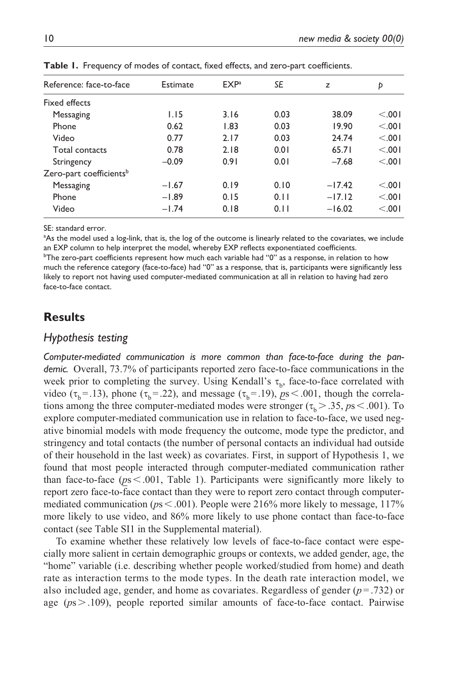| Reference: face-to-face             | Estimate | EXP <sup>a</sup> | SE   | z        | Þ      |
|-------------------------------------|----------|------------------|------|----------|--------|
| <b>Fixed effects</b>                |          |                  |      |          |        |
| Messaging                           | 1.15     | 3.16             | 0.03 | 38.09    | < 0.01 |
| Phone                               | 0.62     | 1.83             | 0.03 | 19.90    | < 0.01 |
| Video                               | 0.77     | 2.17             | 0.03 | 24.74    | < 0.01 |
| Total contacts                      | 0.78     | 2.18             | 0.01 | 65.71    | < 0.01 |
| Stringency                          | $-0.09$  | 0.91             | 0.01 | $-7.68$  | < 0.01 |
| Zero-part coefficients <sup>b</sup> |          |                  |      |          |        |
| Messaging                           | $-1.67$  | 0.19             | 0.10 | $-17.42$ | < 0.01 |
| Phone                               | $-1.89$  | 0.15             | 0.11 | $-17.12$ | < 0.01 |
| Video                               | $-1.74$  | 0.18             | 0.11 | $-16.02$ | < 0.01 |

**Table 1.** Frequency of modes of contact, fixed effects, and zero-part coefficients.

SE: standard error.

<sup>a</sup>As the model used a log-link, that is, the log of the outcome is linearly related to the covariates, we include an EXP column to help interpret the model, whereby EXP reflects exponentiated coefficients.

 $^{\rm b}$ The zero-part coefficients represent how much each variable had ''0'' as a response, in relation to how much the reference category (face-to-face) had "0" as a response, that is, participants were significantly less likely to report not having used computer-mediated communication at all in relation to having had zero face-to-face contact.

#### **Results**

#### *Hypothesis testing*

*Computer-mediated communication is more common than face-to-face during the pandemic.* Overall, 73.7% of participants reported zero face-to-face communications in the week prior to completing the survey. Using Kendall's  $\tau_{\rm b}$ , face-to-face correlated with video ( $\tau_b$ =.13), phone ( $\tau_b$ =.22), and message ( $\tau_b$ =.19), *ps* <.001, though the correlations among the three computer-mediated modes were stronger ( $\tau_b$  > .35, *ps* < .001). To explore computer-mediated communication use in relation to face-to-face, we used negative binomial models with mode frequency the outcome, mode type the predictor, and stringency and total contacts (the number of personal contacts an individual had outside of their household in the last week) as covariates. First, in support of Hypothesis 1, we found that most people interacted through computer-mediated communication rather than face-to-face ( $ps < .001$ , Table 1). Participants were significantly more likely to report zero face-to-face contact than they were to report zero contact through computermediated communication ( $p \le 0.001$ ). People were 216% more likely to message, 117% more likely to use video, and 86% more likely to use phone contact than face-to-face contact (see Table SI1 in the Supplemental material).

To examine whether these relatively low levels of face-to-face contact were especially more salient in certain demographic groups or contexts, we added gender, age, the "home" variable (i.e. describing whether people worked/studied from home) and death rate as interaction terms to the mode types. In the death rate interaction model, we also included age, gender, and home as covariates. Regardless of gender  $(p = .732)$  or age (*p*s>.109), people reported similar amounts of face-to-face contact. Pairwise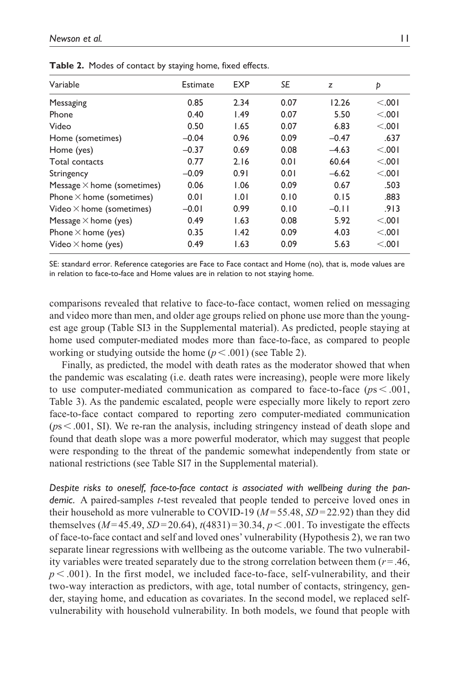| Variable                          | Estimate | <b>EXP</b> | SE   | z       | Þ       |
|-----------------------------------|----------|------------|------|---------|---------|
| Messaging                         | 0.85     | 2.34       | 0.07 | 12.26   | < 0.01  |
| Phone                             | 0.40     | 1.49       | 0.07 | 5.50    | < 0.001 |
| Video                             | 0.50     | 1.65       | 0.07 | 6.83    | < 0.01  |
| Home (sometimes)                  | $-0.04$  | 0.96       | 0.09 | $-0.47$ | .637    |
| Home (yes)                        | $-0.37$  | 0.69       | 0.08 | $-4.63$ | < 0.01  |
| Total contacts                    | 0.77     | 2.16       | 0.01 | 60.64   | < 0.001 |
| Stringency                        | $-0.09$  | 0.91       | 0.01 | $-6.62$ | < 0.001 |
| Message $\times$ home (sometimes) | 0.06     | 1.06       | 0.09 | 0.67    | .503    |
| Phone $\times$ home (sometimes)   | 0.01     | 1.01       | 0.10 | 0.15    | .883    |
| Video $\times$ home (sometimes)   | $-0.01$  | 0.99       | 0.10 | $-0.11$ | .913    |
| Message $\times$ home (yes)       | 0.49     | 1.63       | 0.08 | 5.92    | < .001  |
| Phone $\times$ home (yes)         | 0.35     | 1.42       | 0.09 | 4.03    | < 0.01  |
| Video $\times$ home (yes)         | 0.49     | 1.63       | 0.09 | 5.63    | < .001  |
|                                   |          |            |      |         |         |

**Table 2.** Modes of contact by staying home, fixed effects.

SE: standard error. Reference categories are Face to Face contact and Home (no), that is, mode values are in relation to face-to-face and Home values are in relation to not staying home.

comparisons revealed that relative to face-to-face contact, women relied on messaging and video more than men, and older age groups relied on phone use more than the youngest age group (Table SI3 in the Supplemental material). As predicted, people staying at home used computer-mediated modes more than face-to-face, as compared to people working or studying outside the home  $(p < .001)$  (see Table 2).

Finally, as predicted, the model with death rates as the moderator showed that when the pandemic was escalating (i.e. death rates were increasing), people were more likely to use computer-mediated communication as compared to face-to-face (*p*s < .001, Table 3). As the pandemic escalated, people were especially more likely to report zero face-to-face contact compared to reporting zero computer-mediated communication (*p*s<.001, SI). We re-ran the analysis, including stringency instead of death slope and found that death slope was a more powerful moderator, which may suggest that people were responding to the threat of the pandemic somewhat independently from state or national restrictions (see Table SI7 in the Supplemental material).

*Despite risks to oneself, face-to-face contact is associated with wellbeing during the pandemic.* A paired-samples *t*-test revealed that people tended to perceive loved ones in their household as more vulnerable to COVID-19 (*M*=55.48, *SD*=22.92) than they did themselves  $(M=45.49, SD=20.64)$ ,  $t(4831)=30.34, p<.001$ . To investigate the effects of face-to-face contact and self and loved ones' vulnerability (Hypothesis 2), we ran two separate linear regressions with wellbeing as the outcome variable. The two vulnerability variables were treated separately due to the strong correlation between them (*r*=.46,  $p < .001$ ). In the first model, we included face-to-face, self-vulnerability, and their two-way interaction as predictors, with age, total number of contacts, stringency, gender, staying home, and education as covariates. In the second model, we replaced selfvulnerability with household vulnerability. In both models, we found that people with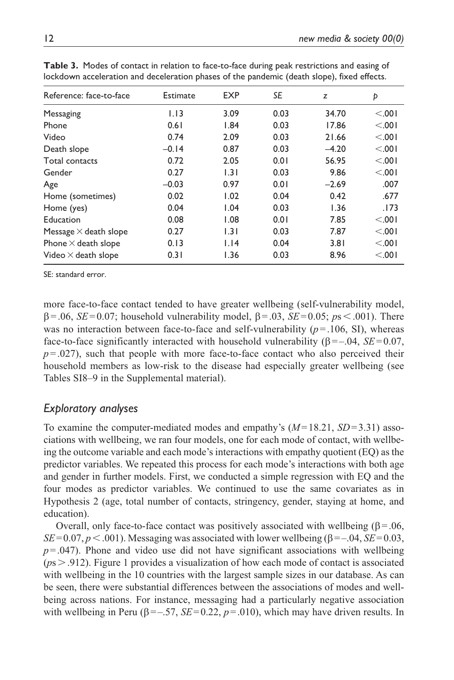| Reference: face-to-face      |          |            |      |         |         |  |
|------------------------------|----------|------------|------|---------|---------|--|
|                              | Estimate | <b>EXP</b> | SE   | z       | Þ       |  |
| Messaging                    | 1.13     | 3.09       | 0.03 | 34.70   | < 0.001 |  |
| Phone                        | 0.61     | 1.84       | 0.03 | 17.86   | < 0.01  |  |
| Video                        | 0.74     | 2.09       | 0.03 | 21.66   | < .001  |  |
| Death slope                  | $-0.14$  | 0.87       | 0.03 | $-4.20$ | < .001  |  |
| Total contacts               | 0.72     | 2.05       | 0.01 | 56.95   | < 0.001 |  |
| Gender                       | 0.27     | 1.31       | 0.03 | 9.86    | < 0.001 |  |
| Age                          | $-0.03$  | 0.97       | 0.01 | $-2.69$ | .007    |  |
| Home (sometimes)             | 0.02     | 1.02       | 0.04 | 0.42    | .677    |  |
| Home (yes)                   | 0.04     | 1.04       | 0.03 | 1.36    | .173    |  |
| Education                    | 0.08     | 1.08       | 0.01 | 7.85    | < 0.01  |  |
| Message $\times$ death slope | 0.27     | 1.31       | 0.03 | 7.87    | < 0.001 |  |
| Phone $\times$ death slope   | 0.13     | 1.14       | 0.04 | 3.81    | < 0.01  |  |
| Video $\times$ death slope   | 0.31     | 1.36       | 0.03 | 8.96    | < .001  |  |

**Table 3.** Modes of contact in relation to face-to-face during peak restrictions and easing of lockdown acceleration and deceleration phases of the pandemic (death slope), fixed effects.

SE: standard error.

more face-to-face contact tended to have greater wellbeing (self-vulnerability model, β=.06, *SE*=0.07; household vulnerability model, β=.03, *SE*=0.05; *p*s<.001). There was no interaction between face-to-face and self-vulnerability  $(p=106, S<sub>I</sub>)$ , whereas face-to-face significantly interacted with household vulnerability (β=–.04, *SE*=0.07,  $p = 0.027$ , such that people with more face-to-face contact who also perceived their household members as low-risk to the disease had especially greater wellbeing (see Tables SI8–9 in the Supplemental material).

#### *Exploratory analyses*

To examine the computer-mediated modes and empathy's (*M*=18.21, *SD*=3.31) associations with wellbeing, we ran four models, one for each mode of contact, with wellbeing the outcome variable and each mode's interactions with empathy quotient (EQ) as the predictor variables. We repeated this process for each mode's interactions with both age and gender in further models. First, we conducted a simple regression with EQ and the four modes as predictor variables. We continued to use the same covariates as in Hypothesis 2 (age, total number of contacts, stringency, gender, staying at home, and education).

Overall, only face-to-face contact was positively associated with wellbeing (β = .06, *SE*=0.07,  $p < .001$ ). Messaging was associated with lower wellbeing ( $\beta = -.04$ , *SE*=0.03,  $p = 0.047$ ). Phone and video use did not have significant associations with wellbeing (*p*s>.912). Figure 1 provides a visualization of how each mode of contact is associated with wellbeing in the 10 countries with the largest sample sizes in our database. As can be seen, there were substantial differences between the associations of modes and wellbeing across nations. For instance, messaging had a particularly negative association with wellbeing in Peru ( $\beta = -0.57$ ,  $SE = 0.22$ ,  $p = 0.010$ ), which may have driven results. In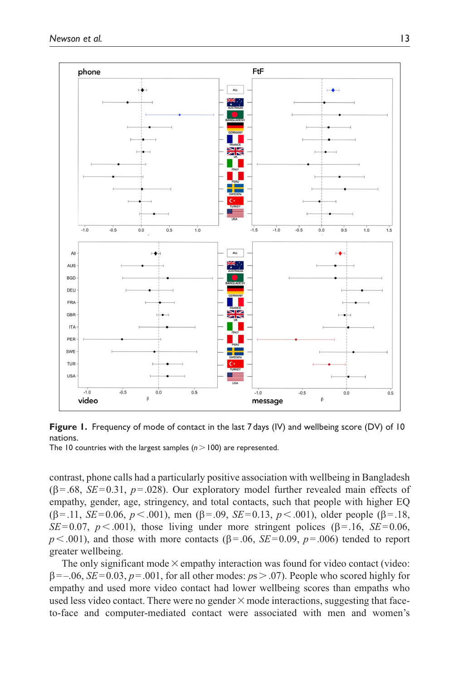



contrast, phone calls had a particularly positive association with wellbeing in Bangladesh (β=.68, *SE*=0.31, *p*=.028). Our exploratory model further revealed main effects of empathy, gender, age, stringency, and total contacts, such that people with higher EQ (β=.11, *SE*=0.06, *p*<.001), men (β=.09, *SE*=0.13, *p*<.001), older people (β=.18, *SE*=0.07,  $p < .001$ , those living under more stringent polices (β=.16, *SE*=0.06,  $p < .001$ ), and those with more contacts ( $\beta = .06$ ,  $SE = 0.09$ ,  $p = .006$ ) tended to report greater wellbeing.

The only significant mode  $\times$  empathy interaction was found for video contact (video: β=–.06, *SE*=0.03, *p*=.001, for all other modes: *p*s>.07). People who scored highly for empathy and used more video contact had lower wellbeing scores than empaths who used less video contact. There were no gender  $\times$  mode interactions, suggesting that faceto-face and computer-mediated contact were associated with men and women's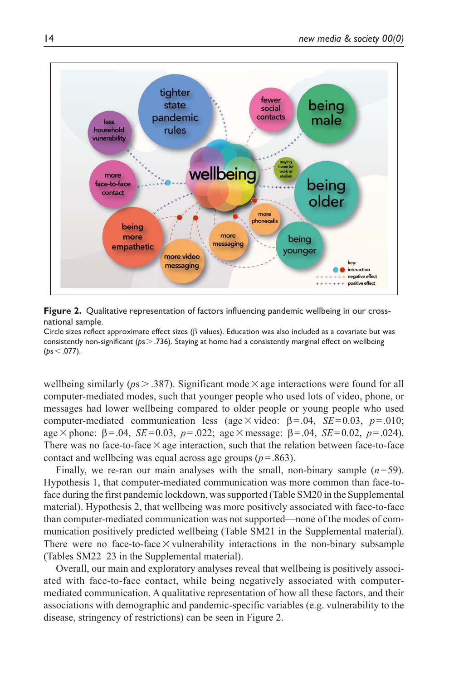

**Figure 2.** Qualitative representation of factors influencing pandemic wellbeing in our crossnational sample.

Circle sizes reflect approximate effect sizes (β values). Education was also included as a covariate but was consistently non-significant (*p*s>.736). Staying at home had a consistently marginal effect on wellbeing (*p*s<.077).

wellbeing similarly ( $p_s$  > .387). Significant mode  $\times$  age interactions were found for all computer-mediated modes, such that younger people who used lots of video, phone, or messages had lower wellbeing compared to older people or young people who used computer-mediated communication less (age  $\times$  video:  $\beta$  = .04, *SE*=0.03, *p*=.010; age  $\times$  phone:  $\beta = .04$ , *SE*=0.03,  $p = .022$ ; age  $\times$  message:  $\beta = .04$ , *SE*=0.02,  $p = .024$ ). There was no face-to-face  $\times$  age interaction, such that the relation between face-to-face contact and wellbeing was equal across age groups ( $p = .863$ ).

Finally, we re-ran our main analyses with the small, non-binary sample  $(n=59)$ . Hypothesis 1, that computer-mediated communication was more common than face-toface during the first pandemic lockdown, was supported (Table SM20 in the Supplemental material). Hypothesis 2, that wellbeing was more positively associated with face-to-face than computer-mediated communication was not supported—none of the modes of communication positively predicted wellbeing (Table SM21 in the Supplemental material). There were no face-to-face  $\times$  vulnerability interactions in the non-binary subsample (Tables SM22–23 in the Supplemental material).

Overall, our main and exploratory analyses reveal that wellbeing is positively associated with face-to-face contact, while being negatively associated with computermediated communication. A qualitative representation of how all these factors, and their associations with demographic and pandemic-specific variables (e.g. vulnerability to the disease, stringency of restrictions) can be seen in Figure 2.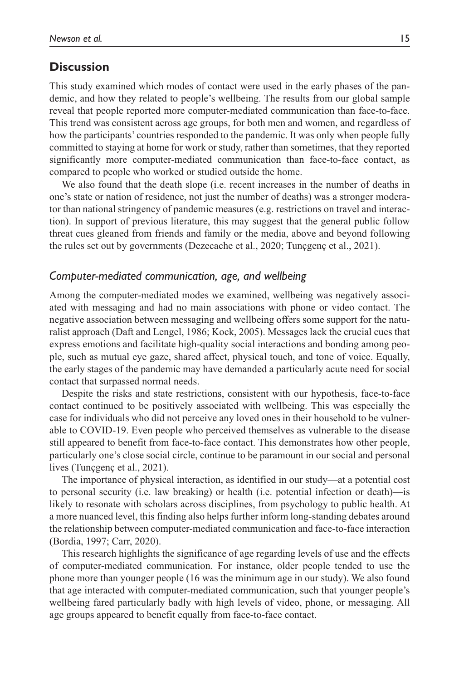#### **Discussion**

This study examined which modes of contact were used in the early phases of the pandemic, and how they related to people's wellbeing. The results from our global sample reveal that people reported more computer-mediated communication than face-to-face. This trend was consistent across age groups, for both men and women, and regardless of how the participants' countries responded to the pandemic. It was only when people fully committed to staying at home for work or study, rather than sometimes, that they reported significantly more computer-mediated communication than face-to-face contact, as compared to people who worked or studied outside the home.

We also found that the death slope (i.e. recent increases in the number of deaths in one's state or nation of residence, not just the number of deaths) was a stronger moderator than national stringency of pandemic measures (e.g. restrictions on travel and interaction). In support of previous literature, this may suggest that the general public follow threat cues gleaned from friends and family or the media, above and beyond following the rules set out by governments (Dezecache et al., 2020; Tunçgenç et al., 2021).

#### *Computer-mediated communication, age, and wellbeing*

Among the computer-mediated modes we examined, wellbeing was negatively associated with messaging and had no main associations with phone or video contact. The negative association between messaging and wellbeing offers some support for the naturalist approach (Daft and Lengel, 1986; Kock, 2005). Messages lack the crucial cues that express emotions and facilitate high-quality social interactions and bonding among people, such as mutual eye gaze, shared affect, physical touch, and tone of voice. Equally, the early stages of the pandemic may have demanded a particularly acute need for social contact that surpassed normal needs.

Despite the risks and state restrictions, consistent with our hypothesis, face-to-face contact continued to be positively associated with wellbeing. This was especially the case for individuals who did not perceive any loved ones in their household to be vulnerable to COVID-19. Even people who perceived themselves as vulnerable to the disease still appeared to benefit from face-to-face contact. This demonstrates how other people, particularly one's close social circle, continue to be paramount in our social and personal lives (Tunçgenç et al., 2021).

The importance of physical interaction, as identified in our study—at a potential cost to personal security (i.e. law breaking) or health (i.e. potential infection or death)—is likely to resonate with scholars across disciplines, from psychology to public health. At a more nuanced level, this finding also helps further inform long-standing debates around the relationship between computer-mediated communication and face-to-face interaction (Bordia, 1997; Carr, 2020).

This research highlights the significance of age regarding levels of use and the effects of computer-mediated communication. For instance, older people tended to use the phone more than younger people (16 was the minimum age in our study). We also found that age interacted with computer-mediated communication, such that younger people's wellbeing fared particularly badly with high levels of video, phone, or messaging. All age groups appeared to benefit equally from face-to-face contact.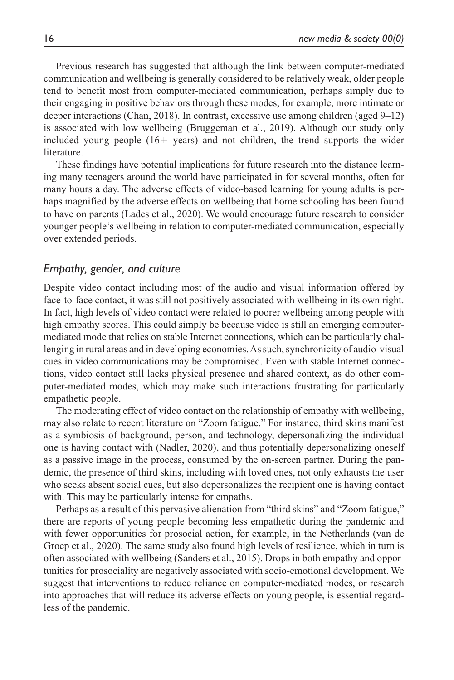Previous research has suggested that although the link between computer-mediated communication and wellbeing is generally considered to be relatively weak, older people tend to benefit most from computer-mediated communication, perhaps simply due to their engaging in positive behaviors through these modes, for example, more intimate or deeper interactions (Chan, 2018). In contrast, excessive use among children (aged 9–12) is associated with low wellbeing (Bruggeman et al., 2019). Although our study only included young people  $(16 + \text{ years})$  and not children, the trend supports the wider literature.

These findings have potential implications for future research into the distance learning many teenagers around the world have participated in for several months, often for many hours a day. The adverse effects of video-based learning for young adults is perhaps magnified by the adverse effects on wellbeing that home schooling has been found to have on parents (Lades et al., 2020). We would encourage future research to consider younger people's wellbeing in relation to computer-mediated communication, especially over extended periods.

#### *Empathy, gender, and culture*

Despite video contact including most of the audio and visual information offered by face-to-face contact, it was still not positively associated with wellbeing in its own right. In fact, high levels of video contact were related to poorer wellbeing among people with high empathy scores. This could simply be because video is still an emerging computermediated mode that relies on stable Internet connections, which can be particularly challenging in rural areas and in developing economies. As such, synchronicity of audio-visual cues in video communications may be compromised. Even with stable Internet connections, video contact still lacks physical presence and shared context, as do other computer-mediated modes, which may make such interactions frustrating for particularly empathetic people.

The moderating effect of video contact on the relationship of empathy with wellbeing, may also relate to recent literature on "Zoom fatigue." For instance, third skins manifest as a symbiosis of background, person, and technology, depersonalizing the individual one is having contact with (Nadler, 2020), and thus potentially depersonalizing oneself as a passive image in the process, consumed by the on-screen partner. During the pandemic, the presence of third skins, including with loved ones, not only exhausts the user who seeks absent social cues, but also depersonalizes the recipient one is having contact with. This may be particularly intense for empaths.

Perhaps as a result of this pervasive alienation from "third skins" and "Zoom fatigue," there are reports of young people becoming less empathetic during the pandemic and with fewer opportunities for prosocial action, for example, in the Netherlands (van de Groep et al., 2020). The same study also found high levels of resilience, which in turn is often associated with wellbeing (Sanders et al., 2015). Drops in both empathy and opportunities for prosociality are negatively associated with socio-emotional development. We suggest that interventions to reduce reliance on computer-mediated modes, or research into approaches that will reduce its adverse effects on young people, is essential regardless of the pandemic.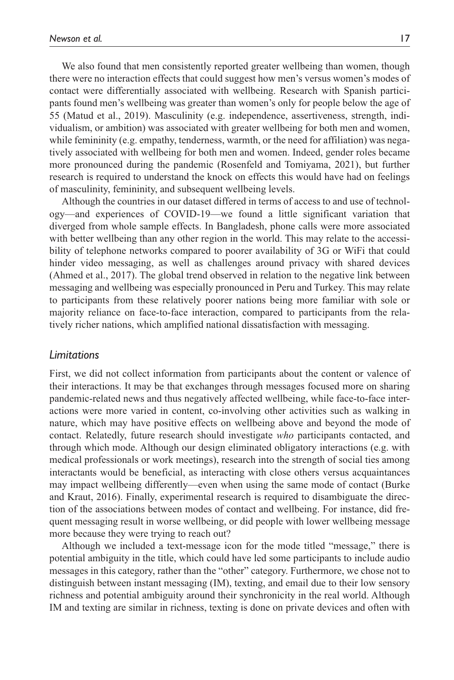We also found that men consistently reported greater wellbeing than women, though there were no interaction effects that could suggest how men's versus women's modes of contact were differentially associated with wellbeing. Research with Spanish participants found men's wellbeing was greater than women's only for people below the age of 55 (Matud et al., 2019). Masculinity (e.g. independence, assertiveness, strength, individualism, or ambition) was associated with greater wellbeing for both men and women, while femininity (e.g. empathy, tenderness, warmth, or the need for affiliation) was negatively associated with wellbeing for both men and women. Indeed, gender roles became more pronounced during the pandemic (Rosenfeld and Tomiyama, 2021), but further research is required to understand the knock on effects this would have had on feelings of masculinity, femininity, and subsequent wellbeing levels.

Although the countries in our dataset differed in terms of access to and use of technology—and experiences of COVID-19—we found a little significant variation that diverged from whole sample effects. In Bangladesh, phone calls were more associated with better wellbeing than any other region in the world. This may relate to the accessibility of telephone networks compared to poorer availability of 3G or WiFi that could hinder video messaging, as well as challenges around privacy with shared devices (Ahmed et al., 2017). The global trend observed in relation to the negative link between messaging and wellbeing was especially pronounced in Peru and Turkey. This may relate to participants from these relatively poorer nations being more familiar with sole or majority reliance on face-to-face interaction, compared to participants from the relatively richer nations, which amplified national dissatisfaction with messaging.

#### *Limitations*

First, we did not collect information from participants about the content or valence of their interactions. It may be that exchanges through messages focused more on sharing pandemic-related news and thus negatively affected wellbeing, while face-to-face interactions were more varied in content, co-involving other activities such as walking in nature, which may have positive effects on wellbeing above and beyond the mode of contact. Relatedly, future research should investigate *who* participants contacted, and through which mode. Although our design eliminated obligatory interactions (e.g. with medical professionals or work meetings), research into the strength of social ties among interactants would be beneficial, as interacting with close others versus acquaintances may impact wellbeing differently—even when using the same mode of contact (Burke and Kraut, 2016). Finally, experimental research is required to disambiguate the direction of the associations between modes of contact and wellbeing. For instance, did frequent messaging result in worse wellbeing, or did people with lower wellbeing message more because they were trying to reach out?

Although we included a text-message icon for the mode titled "message," there is potential ambiguity in the title, which could have led some participants to include audio messages in this category, rather than the "other" category. Furthermore, we chose not to distinguish between instant messaging (IM), texting, and email due to their low sensory richness and potential ambiguity around their synchronicity in the real world. Although IM and texting are similar in richness, texting is done on private devices and often with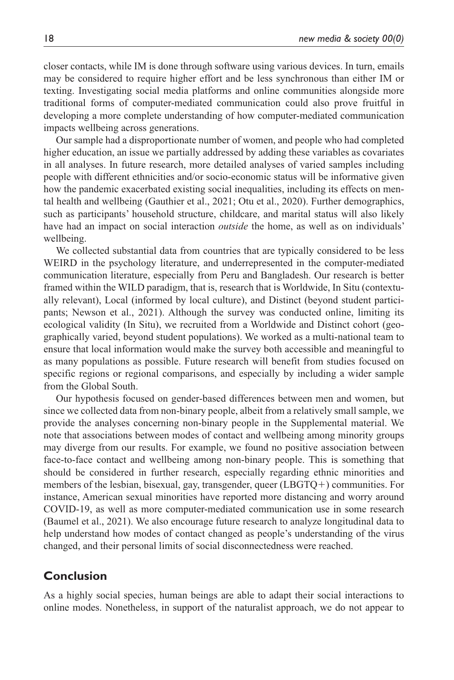closer contacts, while IM is done through software using various devices. In turn, emails may be considered to require higher effort and be less synchronous than either IM or texting. Investigating social media platforms and online communities alongside more traditional forms of computer-mediated communication could also prove fruitful in developing a more complete understanding of how computer-mediated communication impacts wellbeing across generations.

Our sample had a disproportionate number of women, and people who had completed higher education, an issue we partially addressed by adding these variables as covariates in all analyses. In future research, more detailed analyses of varied samples including people with different ethnicities and/or socio-economic status will be informative given how the pandemic exacerbated existing social inequalities, including its effects on mental health and wellbeing (Gauthier et al., 2021; Otu et al., 2020). Further demographics, such as participants' household structure, childcare, and marital status will also likely have had an impact on social interaction *outside* the home, as well as on individuals' wellbeing.

We collected substantial data from countries that are typically considered to be less WEIRD in the psychology literature, and underrepresented in the computer-mediated communication literature, especially from Peru and Bangladesh. Our research is better framed within the WILD paradigm, that is, research that is Worldwide, In Situ (contextually relevant), Local (informed by local culture), and Distinct (beyond student participants; Newson et al., 2021). Although the survey was conducted online, limiting its ecological validity (In Situ), we recruited from a Worldwide and Distinct cohort (geographically varied, beyond student populations). We worked as a multi-national team to ensure that local information would make the survey both accessible and meaningful to as many populations as possible. Future research will benefit from studies focused on specific regions or regional comparisons, and especially by including a wider sample from the Global South.

Our hypothesis focused on gender-based differences between men and women, but since we collected data from non-binary people, albeit from a relatively small sample, we provide the analyses concerning non-binary people in the Supplemental material. We note that associations between modes of contact and wellbeing among minority groups may diverge from our results. For example, we found no positive association between face-to-face contact and wellbeing among non-binary people. This is something that should be considered in further research, especially regarding ethnic minorities and members of the lesbian, bisexual, gay, transgender, queer (LBGTQ+) communities. For instance, American sexual minorities have reported more distancing and worry around COVID-19, as well as more computer-mediated communication use in some research (Baumel et al., 2021). We also encourage future research to analyze longitudinal data to help understand how modes of contact changed as people's understanding of the virus changed, and their personal limits of social disconnectedness were reached.

#### **Conclusion**

As a highly social species, human beings are able to adapt their social interactions to online modes. Nonetheless, in support of the naturalist approach, we do not appear to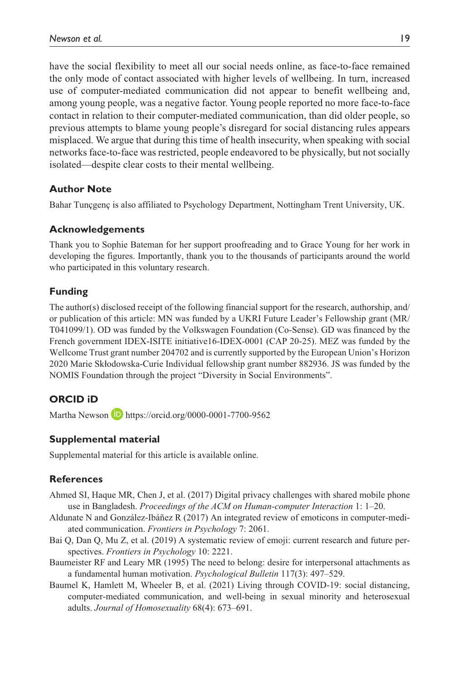have the social flexibility to meet all our social needs online, as face-to-face remained the only mode of contact associated with higher levels of wellbeing. In turn, increased use of computer-mediated communication did not appear to benefit wellbeing and, among young people, was a negative factor. Young people reported no more face-to-face contact in relation to their computer-mediated communication, than did older people, so previous attempts to blame young people's disregard for social distancing rules appears misplaced. We argue that during this time of health insecurity, when speaking with social networks face-to-face was restricted, people endeavored to be physically, but not socially isolated—despite clear costs to their mental wellbeing.

#### **Author Note**

Bahar Tunçgenç is also affiliated to Psychology Department, Nottingham Trent University, UK.

#### **Acknowledgements**

Thank you to Sophie Bateman for her support proofreading and to Grace Young for her work in developing the figures. Importantly, thank you to the thousands of participants around the world who participated in this voluntary research.

#### **Funding**

The author(s) disclosed receipt of the following financial support for the research, authorship, and/ or publication of this article: MN was funded by a UKRI Future Leader's Fellowship grant (MR/ T041099/1). OD was funded by the Volkswagen Foundation (Co-Sense). GD was financed by the French government IDEX-ISITE initiative16-IDEX-0001 (CAP 20-25). MEZ was funded by the Wellcome Trust grant number 204702 and is currently supported by the European Union's Horizon 2020 Marie Skłodowska-Curie Individual fellowship grant number 882936. JS was funded by the NOMIS Foundation through the project "Diversity in Social Environments".

#### **ORCID iD**

Martha Newson **D** <https://orcid.org/0000-0001-7700-9562>

#### **Supplemental material**

Supplemental material for this article is available online.

#### **References**

- Ahmed SI, Haque MR, Chen J, et al. (2017) Digital privacy challenges with shared mobile phone use in Bangladesh. *Proceedings of the ACM on Human-computer Interaction* 1: 1–20.
- Aldunate N and González-Ibáñez R (2017) An integrated review of emoticons in computer-mediated communication. *Frontiers in Psychology* 7: 2061.
- Bai Q, Dan Q, Mu Z, et al. (2019) A systematic review of emoji: current research and future perspectives. *Frontiers in Psychology* 10: 2221.
- Baumeister RF and Leary MR (1995) The need to belong: desire for interpersonal attachments as a fundamental human motivation. *Psychological Bulletin* 117(3): 497–529.
- Baumel K, Hamlett M, Wheeler B, et al. (2021) Living through COVID-19: social distancing, computer-mediated communication, and well-being in sexual minority and heterosexual adults. *Journal of Homosexuality* 68(4): 673–691.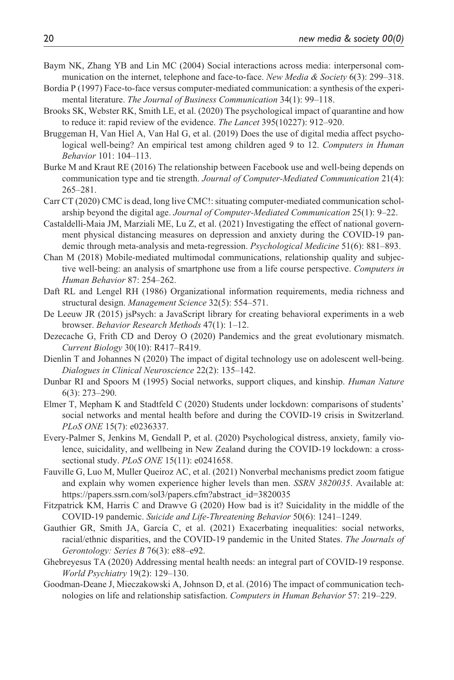- Baym NK, Zhang YB and Lin MC (2004) Social interactions across media: interpersonal communication on the internet, telephone and face-to-face. *New Media & Society* 6(3): 299–318.
- Bordia P (1997) Face-to-face versus computer-mediated communication: a synthesis of the experimental literature. *The Journal of Business Communication* 34(1): 99–118.
- Brooks SK, Webster RK, Smith LE, et al. (2020) The psychological impact of quarantine and how to reduce it: rapid review of the evidence. *The Lancet* 395(10227): 912–920.
- Bruggeman H, Van Hiel A, Van Hal G, et al. (2019) Does the use of digital media affect psychological well-being? An empirical test among children aged 9 to 12. *Computers in Human Behavior* 101: 104–113.
- Burke M and Kraut RE (2016) The relationship between Facebook use and well-being depends on communication type and tie strength. *Journal of Computer-Mediated Communication* 21(4): 265–281.
- Carr CT (2020) CMC is dead, long live CMC!: situating computer-mediated communication scholarship beyond the digital age. *Journal of Computer-Mediated Communication* 25(1): 9–22.
- Castaldelli-Maia JM, Marziali ME, Lu Z, et al. (2021) Investigating the effect of national government physical distancing measures on depression and anxiety during the COVID-19 pandemic through meta-analysis and meta-regression. *Psychological Medicine* 51(6): 881–893.
- Chan M (2018) Mobile-mediated multimodal communications, relationship quality and subjective well-being: an analysis of smartphone use from a life course perspective. *Computers in Human Behavior* 87: 254–262.
- Daft RL and Lengel RH (1986) Organizational information requirements, media richness and structural design. *Management Science* 32(5): 554–571.
- De Leeuw JR (2015) jsPsych: a JavaScript library for creating behavioral experiments in a web browser. *Behavior Research Methods* 47(1): 1–12.
- Dezecache G, Frith CD and Deroy O (2020) Pandemics and the great evolutionary mismatch. *Current Biology* 30(10): R417–R419.
- Dienlin T and Johannes N (2020) The impact of digital technology use on adolescent well-being. *Dialogues in Clinical Neuroscience* 22(2): 135–142.
- Dunbar RI and Spoors M (1995) Social networks, support cliques, and kinship. *Human Nature* 6(3): 273–290.
- Elmer T, Mepham K and Stadtfeld C (2020) Students under lockdown: comparisons of students' social networks and mental health before and during the COVID-19 crisis in Switzerland. *PLoS ONE* 15(7): e0236337.
- Every-Palmer S, Jenkins M, Gendall P, et al. (2020) Psychological distress, anxiety, family violence, suicidality, and wellbeing in New Zealand during the COVID-19 lockdown: a crosssectional study. *PLoS ONE* 15(11): e0241658.
- Fauville G, Luo M, Muller Queiroz AC, et al. (2021) Nonverbal mechanisms predict zoom fatigue and explain why women experience higher levels than men. *SSRN 3820035*. Available at: [https://papers.ssrn.com/sol3/papers.cfm?abstract\\_id=3820035](https://papers.ssrn.com/sol3/papers.cfm?abstract_id=3820035)
- Fitzpatrick KM, Harris C and Drawve G (2020) How bad is it? Suicidality in the middle of the COVID-19 pandemic. *Suicide and Life-Threatening Behavior* 50(6): 1241–1249.
- Gauthier GR, Smith JA, García C, et al. (2021) Exacerbating inequalities: social networks, racial/ethnic disparities, and the COVID-19 pandemic in the United States. *The Journals of Gerontology: Series B* 76(3): e88–e92.
- Ghebreyesus TA (2020) Addressing mental health needs: an integral part of COVID-19 response. *World Psychiatry* 19(2): 129–130.
- Goodman-Deane J, Mieczakowski A, Johnson D, et al. (2016) The impact of communication technologies on life and relationship satisfaction. *Computers in Human Behavior* 57: 219–229.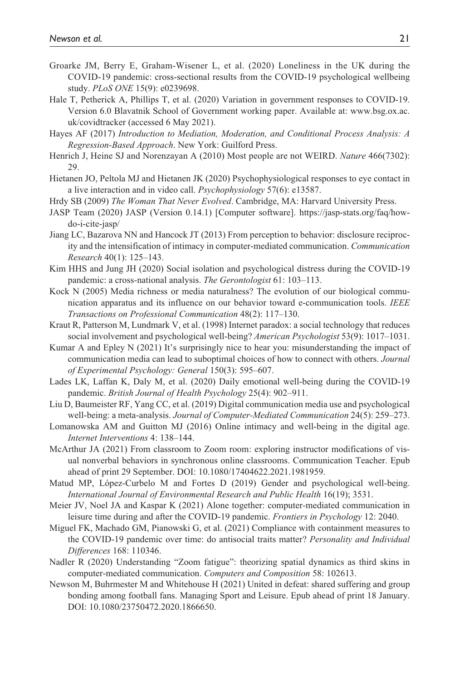- Groarke JM, Berry E, Graham-Wisener L, et al. (2020) Loneliness in the UK during the COVID-19 pandemic: cross-sectional results from the COVID-19 psychological wellbeing study. *PLoS ONE* 15(9): e0239698.
- Hale T, Petherick A, Phillips T, et al. (2020) Variation in government responses to COVID-19. Version 6.0 Blavatnik School of Government working paper. Available at: [www.bsg.ox.ac.](www.bsg.ox.ac.uk/covidtracker) [uk/covidtracker](www.bsg.ox.ac.uk/covidtracker) (accessed 6 May 2021).
- Hayes AF (2017) *Introduction to Mediation, Moderation, and Conditional Process Analysis: A Regression-Based Approach*. New York: Guilford Press.
- Henrich J, Heine SJ and Norenzayan A (2010) Most people are not WEIRD. *Nature* 466(7302): 29.
- Hietanen JO, Peltola MJ and Hietanen JK (2020) Psychophysiological responses to eye contact in a live interaction and in video call. *Psychophysiology* 57(6): e13587.
- Hrdy SB (2009) *The Woman That Never Evolved*. Cambridge, MA: Harvard University Press.
- JASP Team (2020) JASP (Version 0.14.1) [Computer software]. [https://jasp-stats.org/faq/how](https://jasp-stats.org/faq/how-do-i-cite-jasp/)[do-i-cite-jasp/](https://jasp-stats.org/faq/how-do-i-cite-jasp/)
- Jiang LC, Bazarova NN and Hancock JT (2013) From perception to behavior: disclosure reciprocity and the intensification of intimacy in computer-mediated communication. *Communication Research* 40(1): 125–143.
- Kim HHS and Jung JH (2020) Social isolation and psychological distress during the COVID-19 pandemic: a cross-national analysis. *The Gerontologist* 61: 103–113.
- Kock N (2005) Media richness or media naturalness? The evolution of our biological communication apparatus and its influence on our behavior toward e-communication tools. *IEEE Transactions on Professional Communication* 48(2): 117–130.
- Kraut R, Patterson M, Lundmark V, et al. (1998) Internet paradox: a social technology that reduces social involvement and psychological well-being? *American Psychologist* 53(9): 1017–1031.
- Kumar A and Epley N (2021) It's surprisingly nice to hear you: misunderstanding the impact of communication media can lead to suboptimal choices of how to connect with others. *Journal of Experimental Psychology: General* 150(3): 595–607.
- Lades LK, Laffan K, Daly M, et al. (2020) Daily emotional well-being during the COVID-19 pandemic. *British Journal of Health Psychology* 25(4): 902–911.
- Liu D, Baumeister RF, Yang CC, et al. (2019) Digital communication media use and psychological well-being: a meta-analysis. *Journal of Computer-Mediated Communication* 24(5): 259–273.
- Lomanowska AM and Guitton MJ (2016) Online intimacy and well-being in the digital age. *Internet Interventions* 4: 138–144.
- McArthur JA (2021) From classroom to Zoom room: exploring instructor modifications of visual nonverbal behaviors in synchronous online classrooms. Communication Teacher. Epub ahead of print 29 September. DOI: 10.1080/17404622.2021.1981959.
- Matud MP, López-Curbelo M and Fortes D (2019) Gender and psychological well-being. *International Journal of Environmental Research and Public Health* 16(19); 3531.
- Meier JV, Noel JA and Kaspar K (2021) Alone together: computer-mediated communication in leisure time during and after the COVID-19 pandemic. *Frontiers in Psychology* 12: 2040.
- Miguel FK, Machado GM, Pianowski G, et al. (2021) Compliance with containment measures to the COVID-19 pandemic over time: do antisocial traits matter? *Personality and Individual Differences* 168: 110346.
- Nadler R (2020) Understanding "Zoom fatigue": theorizing spatial dynamics as third skins in computer-mediated communication. *Computers and Composition* 58: 102613.
- Newson M, Buhrmester M and Whitehouse H (2021) United in defeat: shared suffering and group bonding among football fans. Managing Sport and Leisure. Epub ahead of print 18 January. DOI: 10.1080/23750472.2020.1866650.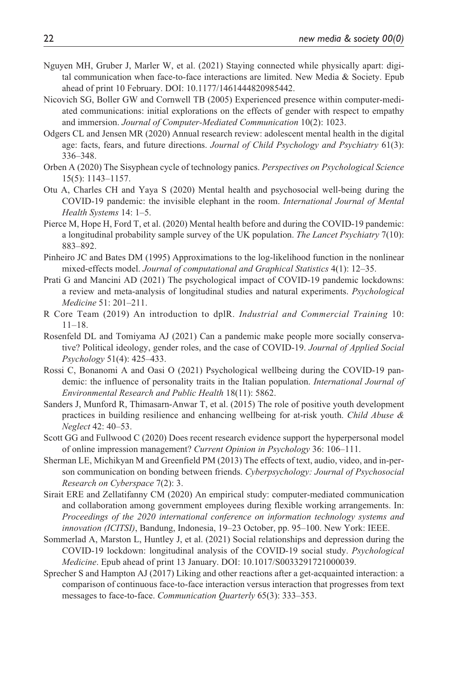- Nguyen MH, Gruber J, Marler W, et al. (2021) Staying connected while physically apart: digital communication when face-to-face interactions are limited. New Media  $\&$  Society. Epub ahead of print 10 February. DOI: 10.1177/1461444820985442.
- Nicovich SG, Boller GW and Cornwell TB (2005) Experienced presence within computer-mediated communications: initial explorations on the effects of gender with respect to empathy and immersion. *Journal of Computer-Mediated Communication* 10(2): 1023.
- Odgers CL and Jensen MR (2020) Annual research review: adolescent mental health in the digital age: facts, fears, and future directions. *Journal of Child Psychology and Psychiatry* 61(3): 336–348.
- Orben A (2020) The Sisyphean cycle of technology panics. *Perspectives on Psychological Science* 15(5): 1143–1157.
- Otu A, Charles CH and Yaya S (2020) Mental health and psychosocial well-being during the COVID-19 pandemic: the invisible elephant in the room. *International Journal of Mental Health Systems* 14: 1–5.
- Pierce M, Hope H, Ford T, et al. (2020) Mental health before and during the COVID-19 pandemic: a longitudinal probability sample survey of the UK population. *The Lancet Psychiatry* 7(10): 883–892.
- Pinheiro JC and Bates DM (1995) Approximations to the log-likelihood function in the nonlinear mixed-effects model. *Journal of computational and Graphical Statistics* 4(1): 12–35.
- Prati G and Mancini AD (2021) The psychological impact of COVID-19 pandemic lockdowns: a review and meta-analysis of longitudinal studies and natural experiments. *Psychological Medicine* 51: 201–211.
- R Core Team (2019) An introduction to dplR. *Industrial and Commercial Training* 10: 11–18.
- Rosenfeld DL and Tomiyama AJ (2021) Can a pandemic make people more socially conservative? Political ideology, gender roles, and the case of COVID-19. *Journal of Applied Social Psychology* 51(4): 425–433.
- Rossi C, Bonanomi A and Oasi O (2021) Psychological wellbeing during the COVID-19 pandemic: the influence of personality traits in the Italian population. *International Journal of Environmental Research and Public Health* 18(11): 5862.
- Sanders J, Munford R, Thimasarn-Anwar T, et al. (2015) The role of positive youth development practices in building resilience and enhancing wellbeing for at-risk youth. *Child Abuse & Neglect* 42: 40–53.
- Scott GG and Fullwood C (2020) Does recent research evidence support the hyperpersonal model of online impression management? *Current Opinion in Psychology* 36: 106–111.
- Sherman LE, Michikyan M and Greenfield PM (2013) The effects of text, audio, video, and in-person communication on bonding between friends. *Cyberpsychology: Journal of Psychosocial Research on Cyberspace* 7(2): 3.
- Sirait ERE and Zellatifanny CM (2020) An empirical study: computer-mediated communication and collaboration among government employees during flexible working arrangements. In: *Proceedings of the 2020 international conference on information technology systems and innovation (ICITSI)*, Bandung, Indonesia, 19–23 October, pp. 95–100. New York: IEEE.
- Sommerlad A, Marston L, Huntley J, et al. (2021) Social relationships and depression during the COVID-19 lockdown: longitudinal analysis of the COVID-19 social study. *Psychological Medicine*. Epub ahead of print 13 January. DOI: 10.1017/S0033291721000039.
- Sprecher S and Hampton AJ (2017) Liking and other reactions after a get-acquainted interaction: a comparison of continuous face-to-face interaction versus interaction that progresses from text messages to face-to-face. *Communication Quarterly* 65(3): 333–353.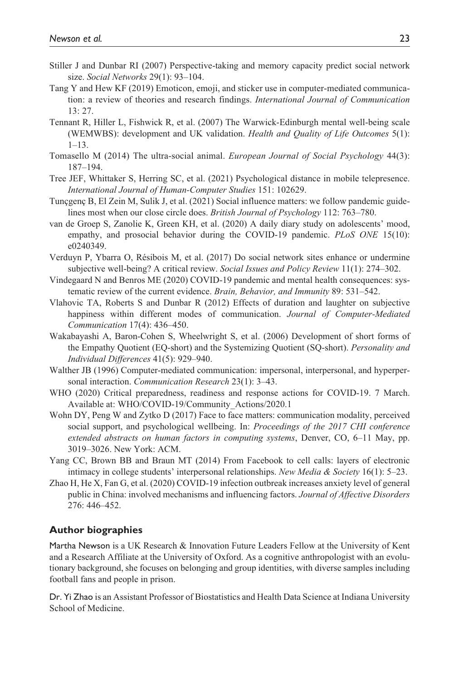- Stiller J and Dunbar RI (2007) Perspective-taking and memory capacity predict social network size. *Social Networks* 29(1): 93–104.
- Tang Y and Hew KF (2019) Emoticon, emoji, and sticker use in computer-mediated communication: a review of theories and research findings. *International Journal of Communication* 13: 27.
- Tennant R, Hiller L, Fishwick R, et al. (2007) The Warwick-Edinburgh mental well-being scale (WEMWBS): development and UK validation. *Health and Quality of Life Outcomes* 5(1):  $1 - 13$
- Tomasello M (2014) The ultra-social animal. *European Journal of Social Psychology* 44(3): 187–194.
- Tree JEF, Whittaker S, Herring SC, et al. (2021) Psychological distance in mobile telepresence. *International Journal of Human-Computer Studies* 151: 102629.
- Tunçgenç B, El Zein M, Sulik J, et al. (2021) Social influence matters: we follow pandemic guidelines most when our close circle does. *British Journal of Psychology* 112: 763–780.
- van de Groep S, Zanolie K, Green KH, et al. (2020) A daily diary study on adolescents' mood, empathy, and prosocial behavior during the COVID-19 pandemic. *PLoS ONE* 15(10): e0240349.
- Verduyn P, Ybarra O, Résibois M, et al. (2017) Do social network sites enhance or undermine subjective well-being? A critical review. *Social Issues and Policy Review* 11(1): 274–302.
- Vindegaard N and Benros ME (2020) COVID-19 pandemic and mental health consequences: systematic review of the current evidence. *Brain, Behavior, and Immunity* 89: 531–542.
- Vlahovic TA, Roberts S and Dunbar R (2012) Effects of duration and laughter on subjective happiness within different modes of communication. *Journal of Computer-Mediated Communication* 17(4): 436–450.
- Wakabayashi A, Baron-Cohen S, Wheelwright S, et al. (2006) Development of short forms of the Empathy Quotient (EQ-short) and the Systemizing Quotient (SQ-short). *Personality and Individual Differences* 41(5): 929–940.
- Walther JB (1996) Computer-mediated communication: impersonal, interpersonal, and hyperpersonal interaction. *Communication Research* 23(1): 3–43.
- WHO (2020) Critical preparedness, readiness and response actions for COVID-19. 7 March. Available at: WHO/COVID-19/Community\_Actions/2020.1
- Wohn DY, Peng W and Zytko D (2017) Face to face matters: communication modality, perceived social support, and psychological wellbeing. In: *Proceedings of the 2017 CHI conference extended abstracts on human factors in computing systems*, Denver, CO, 6–11 May, pp. 3019–3026. New York: ACM.
- Yang CC, Brown BB and Braun MT (2014) From Facebook to cell calls: layers of electronic intimacy in college students' interpersonal relationships. *New Media & Society* 16(1): 5–23.
- Zhao H, He X, Fan G, et al. (2020) COVID-19 infection outbreak increases anxiety level of general public in China: involved mechanisms and influencing factors. *Journal of Affective Disorders* 276: 446–452.

#### **Author biographies**

Martha Newson is a UK Research & Innovation Future Leaders Fellow at the University of Kent and a Research Affiliate at the University of Oxford. As a cognitive anthropologist with an evolutionary background, she focuses on belonging and group identities, with diverse samples including football fans and people in prison.

Dr. Yi Zhao is an Assistant Professor of Biostatistics and Health Data Science at Indiana University School of Medicine.